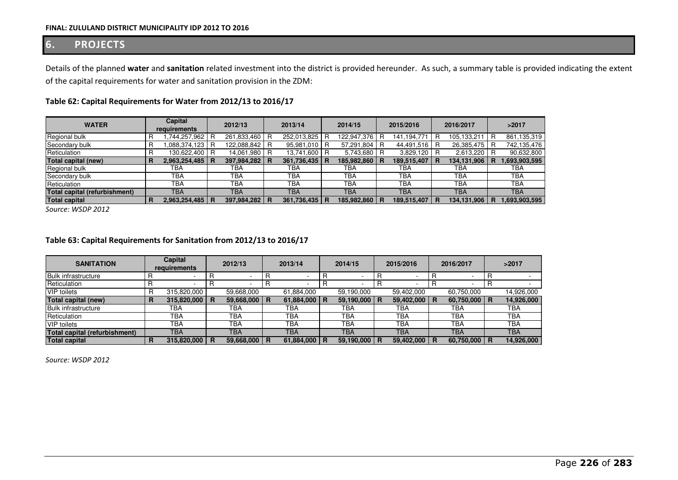## **6. PROJECTS**

Details of the planned **water** and **sanitation** related investment into the district is provided hereunder. As such, a summary table is provided indicating the extent of the capital requirements for water and sanitation provision in the ZDM:

| <b>WATER</b>                  |  | Capital<br>requirements |  | 2012/13       |   | 2013/14         |  | 2014/15     |     | 2015/2016     |   | 2016/2017       |  | >2017        |  |
|-------------------------------|--|-------------------------|--|---------------|---|-----------------|--|-------------|-----|---------------|---|-----------------|--|--------------|--|
| Regional bulk                 |  | .744,257,962 R          |  | 261,833,460   |   | 252,013,825     |  | 122,947,376 | l R | 141, 194, 771 | R | 105,133,211 R   |  | 861,135,319  |  |
| Secondary bulk                |  | .088,374,123 R          |  | 122,088,842   |   | 95,981,010      |  | 57,291,804  |     | 44,491,516    |   | 26,385,475 R    |  | 742,135,476  |  |
| Reticulation                  |  | 130,622,400 R           |  | 14,061,980    |   | 13,741,600 R    |  | 5,743,680 R |     | $3,829,120$ R |   | 2,613,220 R     |  | 90,632,800   |  |
| Total capital (new)           |  | 2,963,254,485   R       |  | 397,984,282   | R | 361,736,435 R   |  | 185,982,860 |     | 189,515,407   | R | 134,131,906   R |  | ,693,903,595 |  |
| Regional bulk                 |  | TBA                     |  | TBA           |   | TBA             |  | TBA         |     | ТВА           |   | TBA             |  | ТВА          |  |
| Secondary bulk                |  | <b>TBA</b>              |  | TBA           |   | <b>TBA</b>      |  | <b>TBA</b>  |     | <b>TBA</b>    |   | <b>TBA</b>      |  | <b>TBA</b>   |  |
| Reticulation                  |  | <b>TBA</b>              |  | TBA           |   | <b>TBA</b>      |  | <b>TBA</b>  |     | <b>TBA</b>    |   | <b>TBA</b>      |  | ТВА          |  |
| Total capital (refurbishment) |  | TBA                     |  | TBA           |   | <b>TBA</b>      |  | <b>TBA</b>  |     | <b>TBA</b>    |   | <b>TBA</b>      |  | <b>TBA</b>   |  |
| <b>Total capital</b>          |  | 2,963,254,485   R       |  | 397,984,282 R |   | 361,736,435   R |  | 185,982,860 |     | 189,515,407   | R | 134,131,906 R   |  | ,693,903,595 |  |

## **Table 62: Capital Requirements for Water from 2012/13 to 2016/17**

*Source: WSDP 2012*

## **Table 63: Capital Requirements for Sanitation from 2012/13 to 2016/17**

| <b>SANITATION</b>             | Capital<br>requirements |             | 2012/13 |                | 2013/14 |            | 2014/15 |            | 2015/2016 |                  | 2016/2017 |            | >2017 |            |
|-------------------------------|-------------------------|-------------|---------|----------------|---------|------------|---------|------------|-----------|------------------|-----------|------------|-------|------------|
| <b>Bulk infrastructure</b>    |                         |             |         |                |         |            |         |            |           |                  |           | -          |       |            |
| Reticulation                  |                         |             |         |                |         |            |         |            |           |                  |           |            |       |            |
| <b>VIP</b> toilets            |                         | 315,820,000 |         | 59,668,000     |         | 61,884,000 |         | 59,190,000 |           | 59,402,000       |           | 60,750,000 |       | 14.926.000 |
| Total capital (new)           | R                       | 315,820,000 | R       | 59,668,000   R |         | 61,884,000 | R       | 59,190,000 | <b>R</b>  | 59,402,000 R     |           | 60,750,000 | R     | 14,926,000 |
| <b>Bulk infrastructure</b>    |                         | ТВА         |         | TBA            |         | TBA        |         | TBA        |           | TBA              |           | TBA        |       | ТВА        |
| Reticulation                  |                         | TBA         |         | ТВА            |         | <b>TBA</b> |         | <b>TBA</b> |           | <b>TBA</b>       |           | TBA        |       | TBA        |
| <b>VIP</b> toilets            |                         | <b>TBA</b>  |         | TBA            |         | ТВА        |         | <b>TBA</b> |           | <b>TBA</b>       |           | <b>TBA</b> |       | TBA        |
| Total capital (refurbishment) |                         | <b>TBA</b>  |         | TBA            |         | TBA        |         | TBA        |           | <b>TBA</b>       |           | <b>TBA</b> |       | TBA        |
| <b>Total capital</b>          |                         | 315,820,000 | R       | 59,668,000     | B       | 61,884,000 |         | 59,190,000 |           | $59,402,000$   R |           | 60,750,000 | R     | 14,926,000 |

*Source: WSDP 2012*